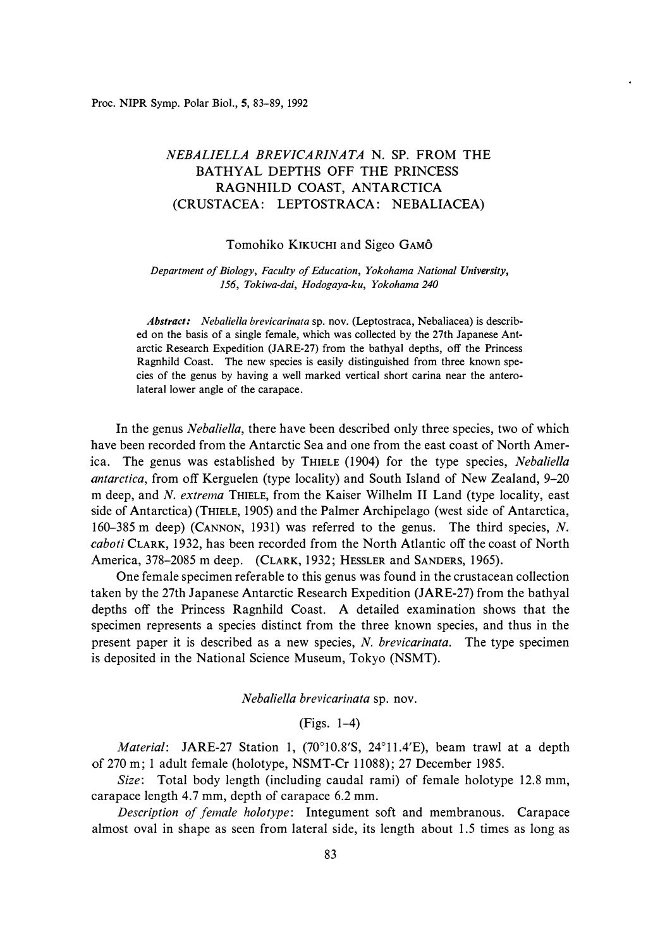Proc. **NIPR** Symp. Polar Biol., **5,** 83-89, 1992

# *NEBALIELLA BREVICARINATA* N. SP. FROM THE BATHYAL DEPTHS OFF THE PRINCESS RAGNHILD COAST, ANTARCTICA (CRUSTACEA: LEPTOSTRACA: NEBALIACEA)

## Tomohiko KIKUCHI and Sigeo GAMO

#### *Department of Biology, Faculty of Education, Yokohama National University, 156, Tokiwa-dai, Hodogaya-ku, Yokohama 240*

*Abstract: Nebaliella brevicarinata* sp. nov. (Leptostraca, Nebaliacea) is described on the basis of a single female, which was collected by the 27th Japanese Antarctic Research Expedition (JARE-27) from the bathyal depths, off the Princess Ragnhild Coast. The new species is easily distinguished from three known species of the genus by having a well marked vertical short carina near the anterolateral lower angle of the carapace.

In the genus *Nebaliella,* there have been described only three species, two of which have been recorded from the Antarctic Sea and one from the east coast of North America. The genus was established by THIELE (1904) for the type species, *Nebaliella antarctica,* from off Kerguelen (type locality) and South Island of New Zealand, 9-20 m deep, and *N. extrema* THIELE, from the Kaiser Wilhelm II Land (type locality, east side of Antarctica) (THIELE, 1905) and the Palmer Archipelago (west side of Antarctica, 160-385 m deep) (CANNON, 1931) was referred to the genus. The third species, *N. caboti* CLARK, 1932, has been recorded from the North Atlantic off the coast of North America, 378-2085 m deep. (CLARK, 1932; HESSLER and SANDERS, 1965).

One female specimen referable to this genus was found in the crustacean collection taken by the 27th Japanese Antarctic Research Expedition (JARE-27) from the bathyal depths off the Princess Ragnhild Coast. A detailed examination shows that the specimen represents a species distinct from the three known species, and thus in the present paper it is described as a new species, *N. brevicarinata.* The type specimen is deposited in the National Science Museum, Tokyo (NSMT).

*Nebaliella brevicarinata* sp. nov.

## (Figs. 1-4)

Material: JARE-27 Station 1, (70°10.8'S, 24°11.4'E), beam trawl at a depth of 270 m; 1 adult female (holotype, NSMT-Cr 11088); 27 December 1985.

*Size:* Total body length (including caudal rami) of female holotype 12.8 mm, carapace length 4.7 mm, depth of carapace 6.2 mm.

*Description of female holotype:* Integument soft and membranous. Carapace almost oval in shape as seen from lateral side, its length about 1.5 times as long as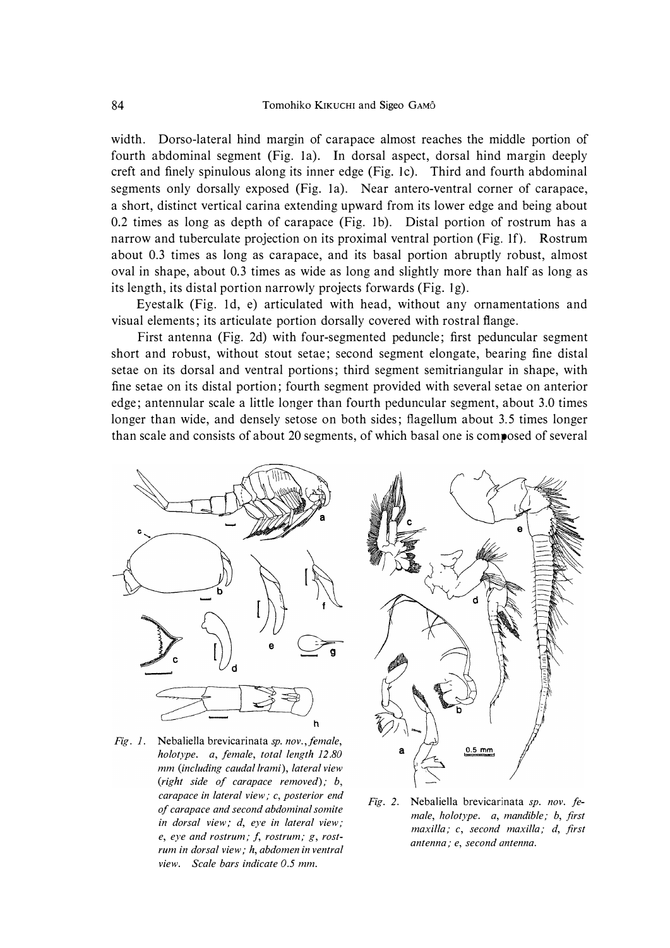width. Dorso-lateral hind margin of carapace almost reaches the middle portion of fourth abdominal segment (Fig. la). In dorsal aspect, dorsal hind margin deeply creft and finely spinulous along its inner edge (Fig. le). Third and fourth abdominal segments only dorsally exposed (Fig. la). Near antero-ventral corner of carapace, a short, distinct vertical carina extending upward from its lower edge and being about 0.2 times as long as depth of carapace (Fig. lb). Distal portion of rostrum has a narrow and tuberculate projection on its proximal ventral portion (Fig. lf). Rostrum about 0.3 times as long as carapace, and its basal portion abruptly robust, almost oval in shape, about 0.3 times as wide as long and slightly more than half as long as its length, its distal portion narrowly projects forwards (Fig. 1g).

Eyestalk (Fig. 1d, e) articulated with head, without any ornamentations and visual elements; its articulate portion dorsally covered with rostral flange.

First antenna (Fig. 2d) with four-segmented peduncle; first peduncular segment short and robust, without stout setae; second segment elongate, bearing fine distal setae on its dorsal and ventral portions; third segment semitriangular in shape, with fine setae on its distal portion; fourth segment provided with several setae on anterior edge; antennular scale a little longer than fourth peduncular segment, about 3.0 times longer than wide, and densely setose on both sides; flagellum about 3.5 times longer than scale and consists of about 20 segments, of which basal one is composed of several



*Fig. 1. Nebaliella brevicarinata sp. nov.,female, holotype. a, female, total length 12.80 mm (including caudal lrami), lateral view (right side of carapace removed); b, carapace in lateral view; c, posterior end of carapace and second abdominal somite in dorsal view; d, eye in lateral view; e, eye and rostrum; J, rostrum; g, rostrum in dorsal view; h, abdomen in ventral view. Scale bars indicate 0.5 mm.* 



*Fig. 2. Nebaliella brevicarinata sp. nov. female, holotype. a, mandible; b, first maxilla; c, second maxilla; d, first antenna; e, second antenna.*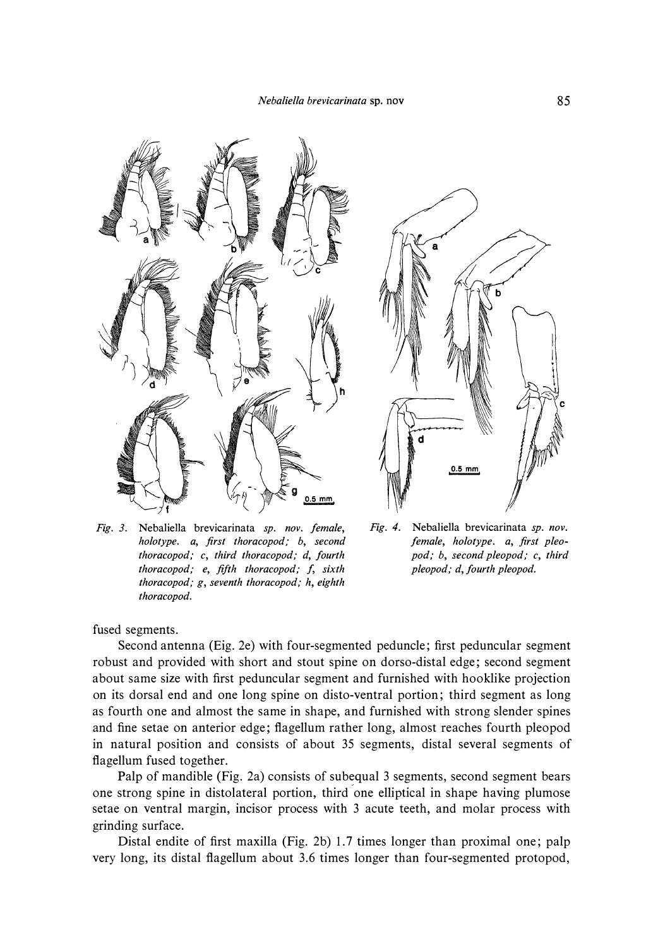

*Fig. 3.* Nebaliella brevicarinata *sp. nov. female, holotype. a, first thoracopod; b, second thoracopod; c, third thoracopod; d, fourth thoracopod; e, fifth thoracopod; f, sixth thoracopod; g, seventh thoracopod; h, eighth thoracopod.* 



*Fig. 4.* Nebaliella brevicarinata *sp. nov. female, holotype. a, first pleopod; b, second pleopod; c, third pleopod; d, fourth pleopod.* 

fused segments.

Second antenna (Eig. 2e) with four-segmented peduncle; first peduncular segment robust and provided with short and stout spine on dorso-distal edge; second segment about same size with first peduncular segment and furnished with hooklike projection on its dorsal end and one long spine on disto-ventral portion; third segment as long as fourth one and almost the same in shape, and furnished with strong slender spines and fine setae on anterior edge; flagellum rather long, almost reaches fourth pleopod in natural position and consists of about 35 segments, distal several segments of flagellum fused together.

Palp of mandible (Fig. 2a) consists of subequal 3 segments, second segment bears one strong spine in distolateral portion, third one elliptical in shape having plumose setae on ventral margin, incisor process with 3 acute teeth, and molar process with grinding surface.

Distal endite of first maxilla (Fig. 2b) 1.7 times longer than proximal one; palp very long, its distal flagellum about 3.6 times longer than four-segmented protopod,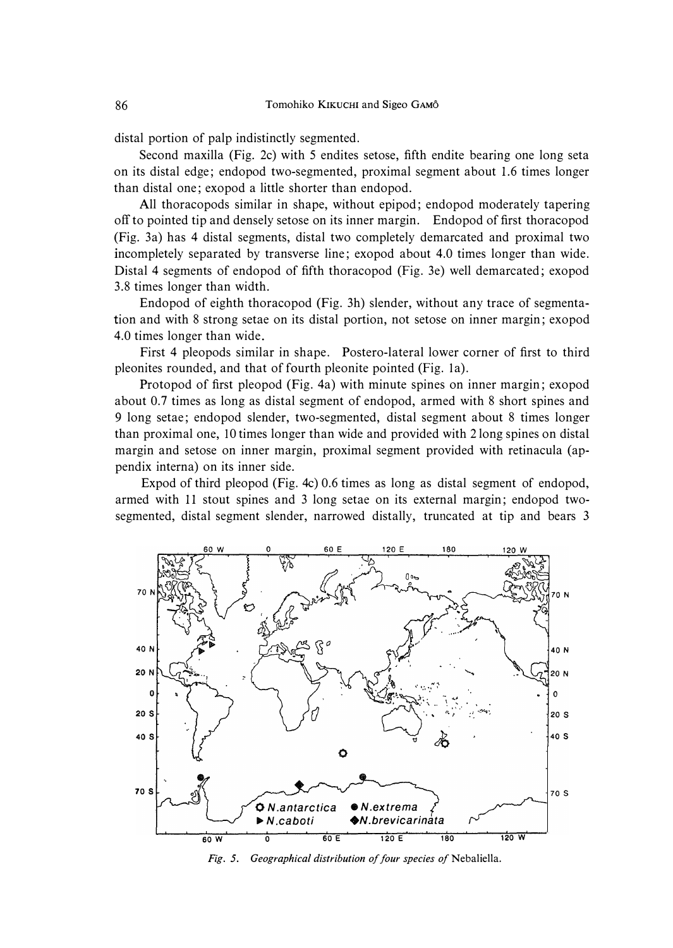distal portion of palp indistinctly segmented.

Second maxilla (Fig. 2c) with 5 endites setose, fifth endite bearing one long seta on its distal edge; endopod two-segmented, proximal segment about 1.6 times longer than distal one; exopod a little shorter than endopod.

All thoracopods similar in shape, without epipod; endopod moderately tapering off to pointed tip and densely setose on its inner margin. Endopod of first thoracopod (Fig. 3a) has 4 distal segments, distal two completely demarcated and proximal two incompletely separated by transverse line; exopod about 4.0 times longer than wide. Distal 4 segments of endopod of fifth thoracopod (Fig. 3e) well demarcated; exopod 3.8 times longer than width.

Endopod of eighth thoracopod (Fig. 3h) slender, without any trace of segmentation and with 8 strong setae on its distal portion, not setose on inner margin; exopod 4.0 times longer than wide.

First 4 pleopods similar in shape. Postero-lateral lower corner of first to third pleonites rounded, and that of fourth pleonite pointed (Fig. la).

Protopod of first pleopod (Fig. 4a) with minute spines on inner margin; exopod about 0.7 times as long as distal segment of endopod, armed with 8 short spines and 9 long setae; endopod slender, two-segmented, distal segment about 8 times longer than proximal one, 10 times longer than wide and provided with 2 long spines on distal margin and setose on inner margin, proximal segment provided with retinacula (appendix interna) on its inner side.

Expod of third pleopod (Fig. 4c) 0.6 times as long as distal segment of endopod, armed with 11 stout spines and 3 long setae on its external margin; endopod twosegmented, distal segment slender, narrowed distally, truncated at tip and bears 3



*Fig. 5. Geographical distribution of four species of Nebaliella.*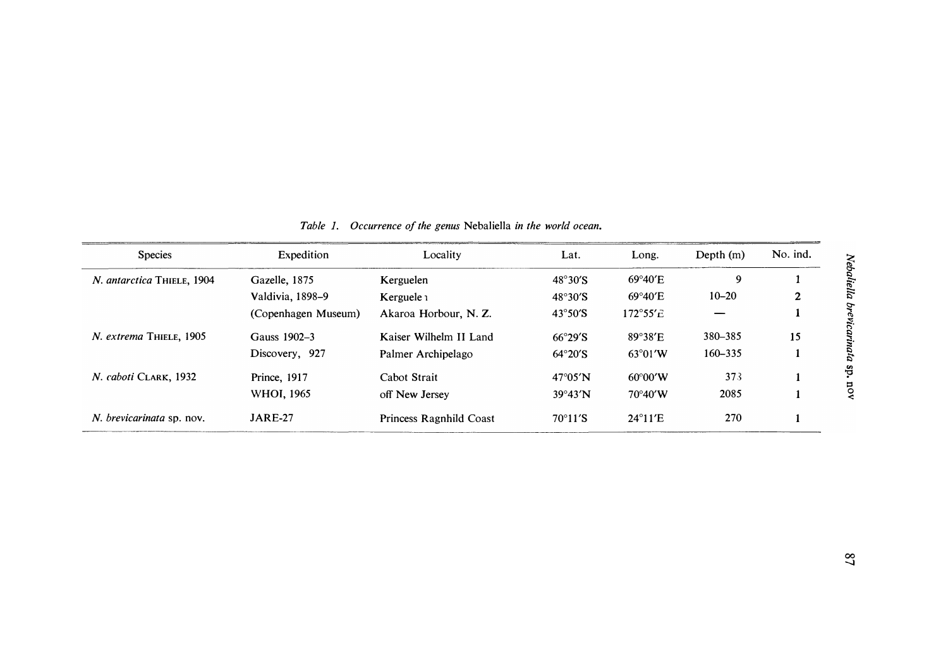| No. ind. |
|----------|
| 1        |
| 2        |
| 1        |
| 15       |
| 1        |
|          |

*lebaliel*  $\mu$ (:)-*""* 

*ricarinata sp.* 

*::s* 

| Table 1. Occurrence of the genus Nebaliella in the world ocean. |  |
|-----------------------------------------------------------------|--|
|-----------------------------------------------------------------|--|

| <b>Species</b>                   | Expedition          | Locality<br>Lat.        |                           | Long.              | Depth $(m)$ | No. ind. |
|----------------------------------|---------------------|-------------------------|---------------------------|--------------------|-------------|----------|
| N. antarctica THIELE, 1904       | Gazelle, 1875       | Kerguelen               | $48^{\circ}30^{\prime}$ S | $69^{\circ}40'E$   | 9           |          |
|                                  | Valdivia, 1898-9    | Kerguele $\iota$        | $48^\circ 30^\prime$ S    | $69^{\circ}40'E$   | $10 - 20$   | 2        |
|                                  | (Copenhagen Museum) | Akaroa Horbour, N. Z.   | $43^{\circ}50^{\prime}S$  | $172^{\circ}55'$ c |             |          |
| N. extrema THIELE, 1905          | Gauss 1902-3        | Kaiser Wilhelm II Land  | $66^{\circ}29^{\prime}S$  | $89^\circ 38'$ E   | 380-385     | 15       |
|                                  | Discovery, 927      | Palmer Archipelago      | $64^{\circ}20^{\prime}S$  | $63^{\circ}01'W$   | $160 - 335$ |          |
| N. caboti CLARK, 1932            | <b>Prince, 1917</b> | Cabot Strait            | $47^{\circ}05'$ N         | $60^{\circ}00'$ W  | 373         |          |
|                                  | WHOI, 1965          | off New Jersey          | $39^{\circ}43'$ N         | $70^{\circ}40'$ W  | 2085        |          |
| <i>N. brevicarinata</i> sp. nov. | <b>JARE-27</b>      | Princess Ragnhild Coast | $70^{\circ}11^{\prime}S$  | $24^{\circ}11'E$   | 270         |          |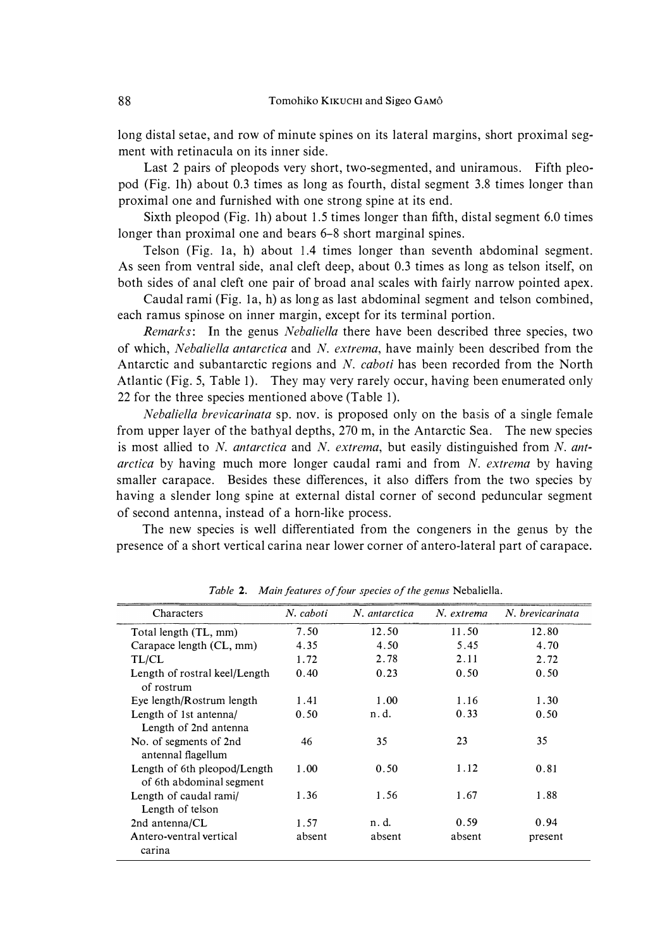long distal setae, and row of minute spines on its lateral margins, short proximal segment with retinacula on its inner side.

Last 2 pairs of pleopods very short, two-segmented, and uniramous. Fifth pleopod (Fig. lh) about 0.3 times as long as fourth, distal segment 3.8 times longer than proximal one and furnished with one strong spine at its end.

Sixth pleopod (Fig. 1h) about 1.5 times longer than fifth, distal segment 6.0 times longer than proximal one and bears 6–8 short marginal spines.

Telson (Fig. la, h) about 1.4 times longer than seventh abdominal segment. As seen from ventral side, anal cleft deep, about 0.3 times as long as telson itself, on both sides of anal cleft one pair of broad anal scales with fairly narrow pointed apex.

Caudal rami (Fig. la, h) as long as last abdominal segment and telson combined, each ramus spinose on inner margin, except for its terminal portion.

*Remarks:* In the genus *Nebaliella* there have been described three species, two of which, *Nebaliella antarctica* and *N. extrema,* have mainly been described from the Antarctic and subantarctic regions and *N. caboti* has been recorded from the North Atlantic (Fig. 5, Table 1). They may very rarely occur, having been enumerated only 22 for the three species mentioned above (Table 1).

*Nebaliella brevicarinata* sp. nov. is proposed only on the basis of a single female from upper layer of the bathyal depths, 270 m, in the Antarctic Sea. The new species is most allied to *N. antarctica* and *N. extrema,* but easily distinguished from *N. antarctica* by having much more longer caudal rami and from *N. extrema* by having smaller carapace. Besides these differences, it also differs from the two species by having a slender long spine at external distal corner of second peduncular segment of second antenna, instead of a horn-like process.

The new species is well differentiated from the congeners in the genus by the presence of a short vertical carina near lower corner of antero-lateral part of carapace.

| Characters                                               | N. caboti | N. antarctica | N. extrema | N. brevicarinata |
|----------------------------------------------------------|-----------|---------------|------------|------------------|
| Total length (TL, mm)                                    | 7.50      | 12.50         | 11.50      | 12.80            |
| Carapace length (CL, mm)                                 | 4.35      | 4.50          | 5.45       | 4.70             |
| TL/CL                                                    | 1.72      | 2.78          | 2.11       | 2.72             |
| Length of rostral keel/Length<br>of rostrum              | 0.40      | 0.23          | 0.50       | 0.50             |
| Eye length/Rostrum length                                | 1.41      | 1.00          | 1.16       | 1.30             |
| Length of 1st antenna/<br>Length of 2nd antenna          | 0.50      | n.d.          | 0.33       | 0.50             |
| No. of segments of 2nd<br>antennal flagellum             | 46        | 35            | 23         | 35               |
| Length of 6th pleopod/Length<br>of 6th abdominal segment | 1.00      | 0.50          | 1.12       | 0.81             |
| Length of caudal rami/<br>Length of telson               | 1.36      | 1.56          | 1.67       | 1.88             |
| 2nd antenna/CL                                           | 1.57      | n. d.         | 0.59       | 0.94             |
| Antero-ventral vertical<br>carina                        | absent    | absent        | absent     | present          |

*Table 2. Main features of four species of the genus Nebaliella.*